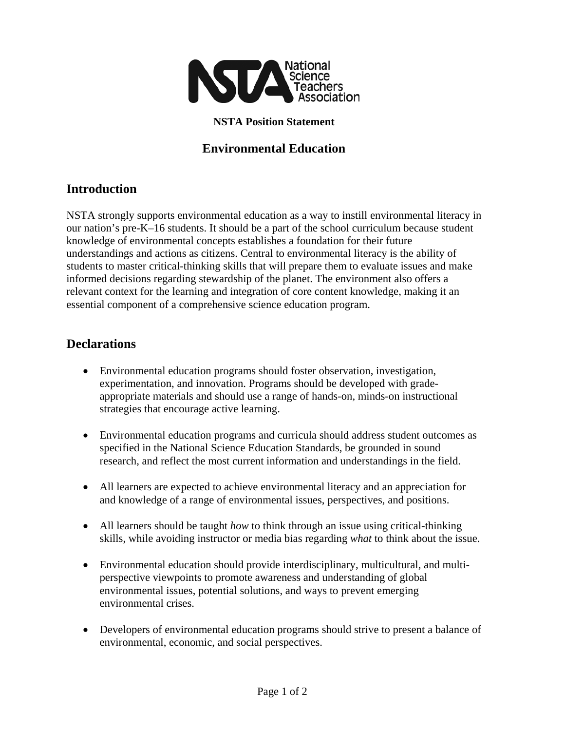

#### **NSTA Position Statement**

## **Environmental Education**

### **Introduction**

NSTA strongly supports environmental education as a way to instill environmental literacy in our nation's pre-K–16 students. It should be a part of the school curriculum because student knowledge of environmental concepts establishes a foundation for their future understandings and actions as citizens. Central to environmental literacy is the ability of students to master critical-thinking skills that will prepare them to evaluate issues and make informed decisions regarding stewardship of the planet. The environment also offers a relevant context for the learning and integration of core content knowledge, making it an essential component of a comprehensive science education program.

#### **Declarations**

- Environmental education programs should foster observation, investigation, experimentation, and innovation. Programs should be developed with gradeappropriate materials and should use a range of hands-on, minds-on instructional strategies that encourage active learning.
- Environmental education programs and curricula should address student outcomes as specified in the National Science Education Standards, be grounded in sound research, and reflect the most current information and understandings in the field.
- All learners are expected to achieve environmental literacy and an appreciation for and knowledge of a range of environmental issues, perspectives, and positions.
- All learners should be taught *how* to think through an issue using critical-thinking skills, while avoiding instructor or media bias regarding *what* to think about the issue.
- Environmental education should provide interdisciplinary, multicultural, and multiperspective viewpoints to promote awareness and understanding of global environmental issues, potential solutions, and ways to prevent emerging environmental crises.
- Developers of environmental education programs should strive to present a balance of environmental, economic, and social perspectives.